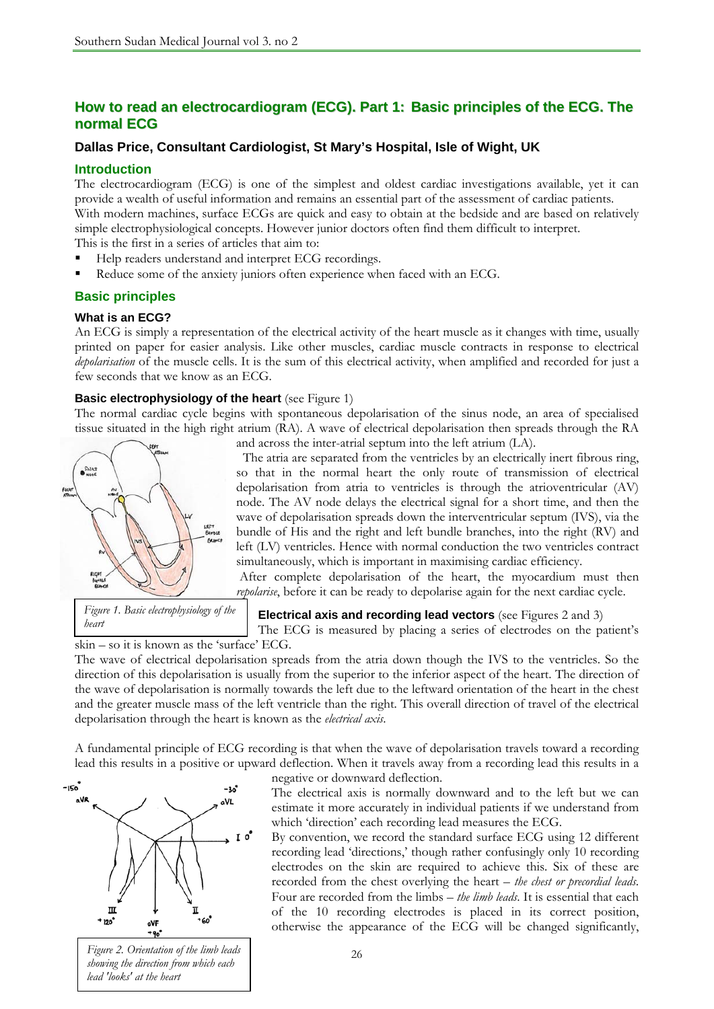## **How to read an electrocardiogram (ECG). Part 1: Basic principles of the ECG. The normal ECG**

## **Dallas Price, Consultant Cardiologist, St Mary's Hospital, Isle of Wight, UK**

## **Introduction**

The electrocardiogram (ECG) is one of the simplest and oldest cardiac investigations available, yet it can provide a wealth of useful information and remains an essential part of the assessment of cardiac patients. With modern machines, surface ECGs are quick and easy to obtain at the bedside and are based on relatively simple electrophysiological concepts. However junior doctors often find them difficult to interpret. This is the first in a series of articles that aim to:

- Help readers understand and interpret ECG recordings.
- Reduce some of the anxiety juniors often experience when faced with an ECG.

## **Basic principles**

### **What is an ECG?**

An ECG is simply a representation of the electrical activity of the heart muscle as it changes with time, usually printed on paper for easier analysis. Like other muscles, cardiac muscle contracts in response to electrical *depolarisation* of the muscle cells. It is the sum of this electrical activity, when amplified and recorded for just a few seconds that we know as an ECG.

### **Basic electrophysiology of the heart** (see Figure 1)

The normal cardiac cycle begins with spontaneous depolarisation of the sinus node, an area of specialised tissue situated in the high right atrium (RA). A wave of electrical depolarisation then spreads through the RA



*Figure 1. Basic electrophysiology of the heart* 

and across the inter-atrial septum into the left atrium (LA).

 The atria are separated from the ventricles by an electrically inert fibrous ring, so that in the normal heart the only route of transmission of electrical depolarisation from atria to ventricles is through the atrioventricular (AV) node. The AV node delays the electrical signal for a short time, and then the wave of depolarisation spreads down the interventricular septum (IVS), via the bundle of His and the right and left bundle branches, into the right (RV) and left (LV) ventricles. Hence with normal conduction the two ventricles contract simultaneously, which is important in maximising cardiac efficiency.

 After complete depolarisation of the heart, the myocardium must then *repolarise*, before it can be ready to depolarise again for the next cardiac cycle.

**Electrical axis and recording lead vectors** (see Figures 2 and 3)

The ECG is measured by placing a series of electrodes on the patient's skin – so it is known as the 'surface' ECG.

The wave of electrical depolarisation spreads from the atria down though the IVS to the ventricles. So the direction of this depolarisation is usually from the superior to the inferior aspect of the heart. The direction of the wave of depolarisation is normally towards the left due to the leftward orientation of the heart in the chest and the greater muscle mass of the left ventricle than the right. This overall direction of travel of the electrical depolarisation through the heart is known as the *electrical axis*.

A fundamental principle of ECG recording is that when the wave of depolarisation travels toward a recording lead this results in a positive or upward deflection. When it travels away from a recording lead this results in a



*Figure 2. Orientation of the limb leads showing the direction from which each lead 'looks' at the heart* 

negative or downward deflection.

The electrical axis is normally downward and to the left but we can estimate it more accurately in individual patients if we understand from which 'direction' each recording lead measures the ECG.

By convention, we record the standard surface ECG using 12 different recording lead 'directions,' though rather confusingly only 10 recording electrodes on the skin are required to achieve this. Six of these are recorded from the chest overlying the heart – *the chest or precordial leads*. Four are recorded from the limbs – *the limb leads*. It is essential that each of the 10 recording electrodes is placed in its correct position, otherwise the appearance of the ECG will be changed significantly,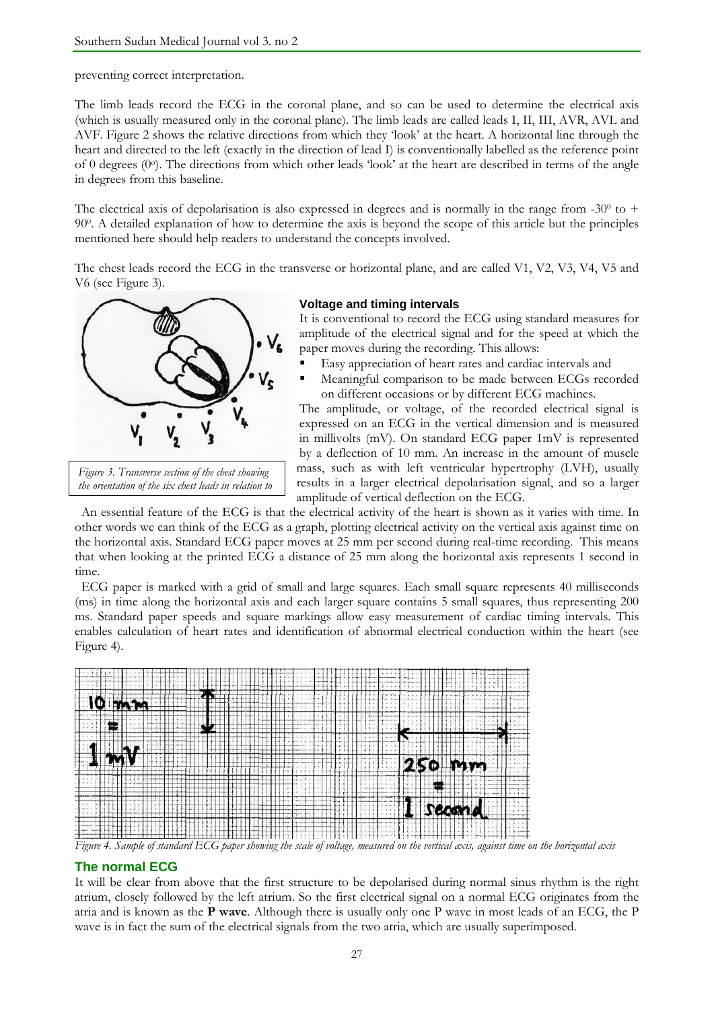preventing correct interpretation.

The limb leads record the ECG in the coronal plane, and so can be used to determine the electrical axis (which is usually measured only in the coronal plane). The limb leads are called leads I, II, III, AVR, AVL and AVF. Figure 2 shows the relative directions from which they 'look' at the heart. A horizontal line through the heart and directed to the left (exactly in the direction of lead I) is conventionally labelled as the reference point of 0 degrees (0o). The directions from which other leads 'look' at the heart are described in terms of the angle in degrees from this baseline.

The electrical axis of depolarisation is also expressed in degrees and is normally in the range from  $-30^{\circ}$  to + 900. A detailed explanation of how to determine the axis is beyond the scope of this article but the principles mentioned here should help readers to understand the concepts involved.

The chest leads record the ECG in the transverse or horizontal plane, and are called V1, V2, V3, V4, V5 and V6 (see Figure 3).



*Figure 3. Transverse section of the chest showing the orientation of the six chest leads in relation to* 

#### **Voltage and timing intervals**

It is conventional to record the ECG using standard measures for amplitude of the electrical signal and for the speed at which the paper moves during the recording. This allows:

- Easy appreciation of heart rates and cardiac intervals and
- Meaningful comparison to be made between ECGs recorded on different occasions or by different ECG machines.

The amplitude, or voltage, of the recorded electrical signal is expressed on an ECG in the vertical dimension and is measured in millivolts (mV). On standard ECG paper 1mV is represented by a deflection of 10 mm. An increase in the amount of muscle mass, such as with left ventricular hypertrophy (LVH), usually results in a larger electrical depolarisation signal, and so a larger amplitude of vertical deflection on the ECG.

 An essential feature of the ECG is that the electrical activity of the heart is shown as it varies with time. In other words we can think of the ECG as a graph, plotting electrical activity on the vertical axis against time on the horizontal axis. Standard ECG paper moves at 25 mm per second during real-time recording. This means that when looking at the printed ECG a distance of 25 mm along the horizontal axis represents 1 second in time.

 ECG paper is marked with a grid of small and large squares. Each small square represents 40 milliseconds (ms) in time along the horizontal axis and each larger square contains 5 small squares, thus representing 200 ms. Standard paper speeds and square markings allow easy measurement of cardiac timing intervals. This enables calculation of heart rates and identification of abnormal electrical conduction within the heart (see Figure 4).



*Figure 4. Sample of standard ECG paper showing the scale of voltage, measured on the vertical axis, against time on the horizontal axis* 

### **The normal ECG**

It will be clear from above that the first structure to be depolarised during normal sinus rhythm is the right atrium, closely followed by the left atrium. So the first electrical signal on a normal ECG originates from the atria and is known as the **P wave**. Although there is usually only one P wave in most leads of an ECG, the P wave is in fact the sum of the electrical signals from the two atria, which are usually superimposed.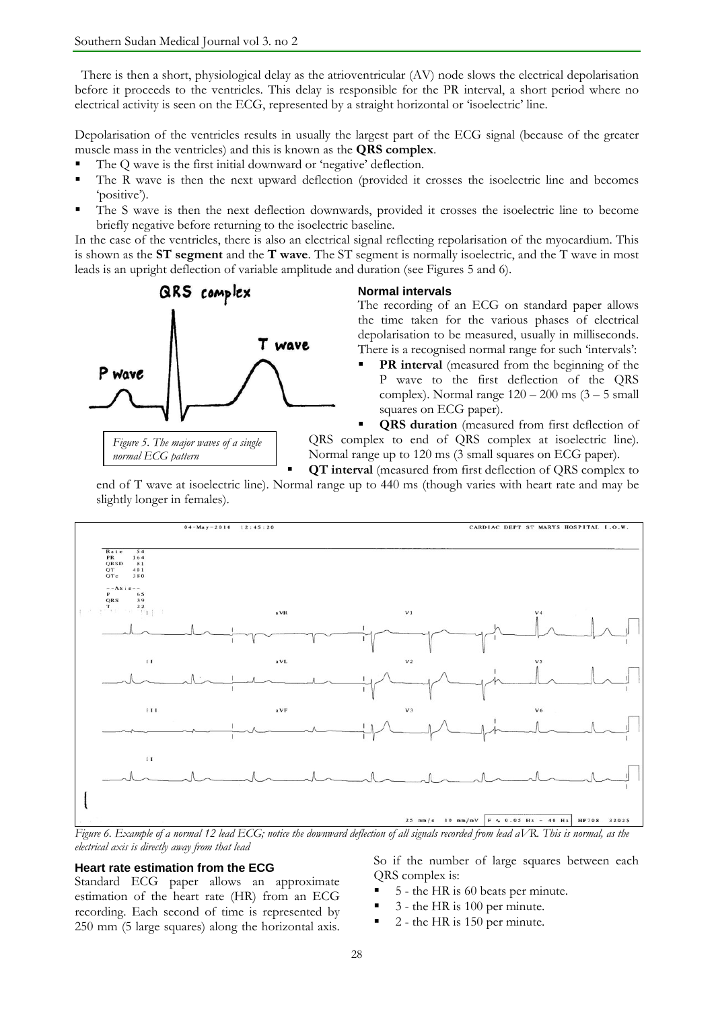There is then a short, physiological delay as the atrioventricular (AV) node slows the electrical depolarisation before it proceeds to the ventricles. This delay is responsible for the PR interval, a short period where no electrical activity is seen on the ECG, represented by a straight horizontal or 'isoelectric' line.

Depolarisation of the ventricles results in usually the largest part of the ECG signal (because of the greater muscle mass in the ventricles) and this is known as the **QRS complex**.

- The Q wave is the first initial downward or 'negative' deflection.
- The R wave is then the next upward deflection (provided it crosses the isoelectric line and becomes 'positive').
- The S wave is then the next deflection downwards, provided it crosses the isoelectric line to become briefly negative before returning to the isoelectric baseline.

In the case of the ventricles, there is also an electrical signal reflecting repolarisation of the myocardium. This is shown as the **ST segment** and the **T wave**. The ST segment is normally isoelectric, and the T wave in most leads is an upright deflection of variable amplitude and duration (see Figures 5 and 6).



*normal ECG pattern* 

**Normal intervals** 

The recording of an ECG on standard paper allows the time taken for the various phases of electrical depolarisation to be measured, usually in milliseconds. There is a recognised normal range for such 'intervals':

 **PR interval** (measured from the beginning of the P wave to the first deflection of the QRS complex). Normal range  $120 - 200$  ms  $(3 - 5)$  small squares on ECG paper).

 **QRS duration** (measured from first deflection of QRS complex to end of QRS complex at isoelectric line). Normal range up to 120 ms (3 small squares on ECG paper).

**QT interval** (measured from first deflection of QRS complex to

end of T wave at isoelectric line). Normal range up to 440 ms (though varies with heart rate and may be slightly longer in females).



*Figure 6. Example of a normal 12 lead ECG; notice the downward deflection of all signals recorded from lead aVR. This is normal, as the electrical axis is directly away from that lead* 

#### **Heart rate estimation from the ECG**

Standard ECG paper allows an approximate estimation of the heart rate (HR) from an ECG recording. Each second of time is represented by 250 mm (5 large squares) along the horizontal axis. So if the number of large squares between each QRS complex is:

- 5 the HR is 60 beats per minute.
- 3 the HR is 100 per minute.
- 2 the HR is 150 per minute.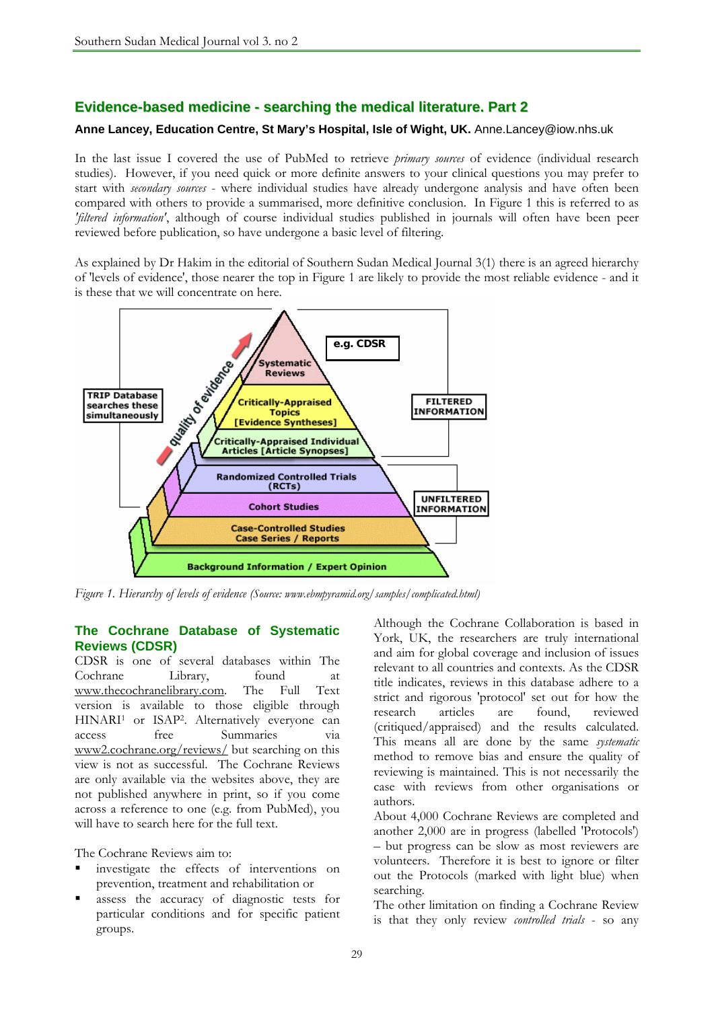## **Evidence-based medicine - searching the medical literature. Part 2**

## **Anne Lancey, Education Centre, St Mary's Hospital, Isle of Wight, UK.** Anne.Lancey@iow.nhs.uk

In the last issue I covered the use of PubMed to retrieve *primary sources* of evidence (individual research studies). However, if you need quick or more definite answers to your clinical questions you may prefer to start with *secondary sources* - where individual studies have already undergone analysis and have often been compared with others to provide a summarised, more definitive conclusion. In Figure 1 this is referred to as *'filtered information'*, although of course individual studies published in journals will often have been peer reviewed before publication, so have undergone a basic level of filtering.

As explained by Dr Hakim in the editorial of Southern Sudan Medical Journal 3(1) there is an agreed hierarchy of 'levels of evidence', those nearer the top in Figure 1 are likely to provide the most reliable evidence - and it is these that we will concentrate on here.



*Figure 1. Hierarchy of levels of evidence (Source: www.ebmpyramid.org/samples/complicated.html)* 

## **The Cochrane Database of Systematic Reviews (CDSR)**

CDSR is one of several databases within The Cochrane Library, found at www.thecochranelibrary.com. The Full Text version is available to those eligible through HINARI<sup>1</sup> or ISAP<sup>2</sup>. Alternatively everyone can access free Summaries via www2.cochrane.org/reviews/ but searching on this view is not as successful. The Cochrane Reviews are only available via the websites above, they are not published anywhere in print, so if you come across a reference to one (e.g. from PubMed), you will have to search here for the full text.

The Cochrane Reviews aim to:

- investigate the effects of interventions on prevention, treatment and rehabilitation or
- assess the accuracy of diagnostic tests for particular conditions and for specific patient groups.

Although the Cochrane Collaboration is based in York, UK, the researchers are truly international and aim for global coverage and inclusion of issues relevant to all countries and contexts. As the CDSR title indicates, reviews in this database adhere to a strict and rigorous 'protocol' set out for how the research articles are found, reviewed (critiqued/appraised) and the results calculated. This means all are done by the same *systematic* method to remove bias and ensure the quality of reviewing is maintained. This is not necessarily the case with reviews from other organisations or authors.

About 4,000 Cochrane Reviews are completed and another 2,000 are in progress (labelled 'Protocols') – but progress can be slow as most reviewers are volunteers. Therefore it is best to ignore or filter out the Protocols (marked with light blue) when searching.

The other limitation on finding a Cochrane Review is that they only review *controlled trials* - so any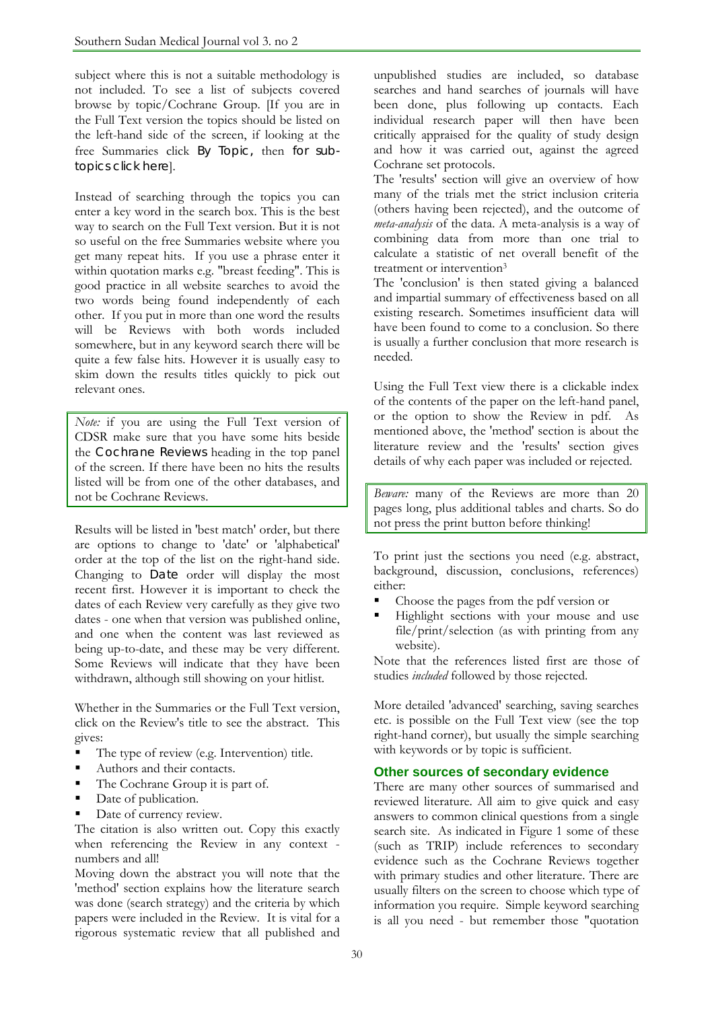subject where this is not a suitable methodology is not included. To see a list of subjects covered browse by topic/Cochrane Group. [If you are in the Full Text version the topics should be listed on the left-hand side of the screen, if looking at the free Summaries click By Topic, then for subtopics click here].

Instead of searching through the topics you can enter a key word in the search box. This is the best way to search on the Full Text version. But it is not so useful on the free Summaries website where you get many repeat hits. If you use a phrase enter it within quotation marks e.g. "breast feeding". This is good practice in all website searches to avoid the two words being found independently of each other. If you put in more than one word the results will be Reviews with both words included somewhere, but in any keyword search there will be quite a few false hits. However it is usually easy to skim down the results titles quickly to pick out relevant ones.

*Note:* if you are using the Full Text version of CDSR make sure that you have some hits beside the Cochrane Reviews heading in the top panel of the screen. If there have been no hits the results listed will be from one of the other databases, and not be Cochrane Reviews.

Results will be listed in 'best match' order, but there are options to change to 'date' or 'alphabetical' order at the top of the list on the right-hand side. Changing to Date order will display the most recent first. However it is important to check the dates of each Review very carefully as they give two dates - one when that version was published online, and one when the content was last reviewed as being up-to-date, and these may be very different. Some Reviews will indicate that they have been withdrawn, although still showing on your hitlist.

Whether in the Summaries or the Full Text version, click on the Review's title to see the abstract. This gives:

- The type of review (e.g. Intervention) title.
- Authors and their contacts.
- The Cochrane Group it is part of.
- Date of publication.
- Date of currency review.

The citation is also written out. Copy this exactly when referencing the Review in any context numbers and all!

Moving down the abstract you will note that the 'method' section explains how the literature search was done (search strategy) and the criteria by which papers were included in the Review. It is vital for a rigorous systematic review that all published and unpublished studies are included, so database searches and hand searches of journals will have been done, plus following up contacts. Each individual research paper will then have been critically appraised for the quality of study design and how it was carried out, against the agreed Cochrane set protocols.

The 'results' section will give an overview of how many of the trials met the strict inclusion criteria (others having been rejected), and the outcome of *meta-analysis* of the data. A meta-analysis is a way of combining data from more than one trial to calculate a statistic of net overall benefit of the treatment or intervention<sup>3</sup>

The 'conclusion' is then stated giving a balanced and impartial summary of effectiveness based on all existing research. Sometimes insufficient data will have been found to come to a conclusion. So there is usually a further conclusion that more research is needed.

Using the Full Text view there is a clickable index of the contents of the paper on the left-hand panel, or the option to show the Review in pdf. As mentioned above, the 'method' section is about the literature review and the 'results' section gives details of why each paper was included or rejected.

*Beware:* many of the Reviews are more than 20 pages long, plus additional tables and charts. So do not press the print button before thinking!

To print just the sections you need (e.g. abstract, background, discussion, conclusions, references) either:

- Choose the pages from the pdf version or
- Highlight sections with your mouse and use file/print/selection (as with printing from any website).

Note that the references listed first are those of studies *included* followed by those rejected.

More detailed 'advanced' searching, saving searches etc. is possible on the Full Text view (see the top right-hand corner), but usually the simple searching with keywords or by topic is sufficient.

## **Other sources of secondary evidence**

There are many other sources of summarised and reviewed literature. All aim to give quick and easy answers to common clinical questions from a single search site. As indicated in Figure 1 some of these (such as TRIP) include references to secondary evidence such as the Cochrane Reviews together with primary studies and other literature. There are usually filters on the screen to choose which type of information you require. Simple keyword searching is all you need - but remember those "quotation